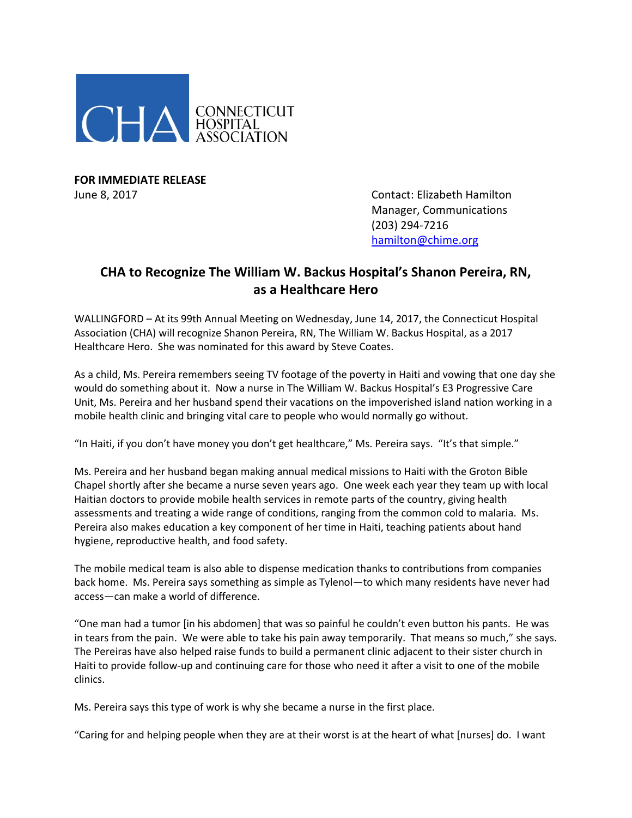

**FOR IMMEDIATE RELEASE**

June 8, 2017 Contact: Elizabeth Hamilton Manager, Communications (203) 294-7216 [hamilton@chime.org](mailto:hamilton@chime.org)

## **CHA to Recognize The William W. Backus Hospital's Shanon Pereira, RN, as a Healthcare Hero**

WALLINGFORD – At its 99th Annual Meeting on Wednesday, June 14, 2017, the Connecticut Hospital Association (CHA) will recognize Shanon Pereira, RN, The William W. Backus Hospital, as a 2017 Healthcare Hero. She was nominated for this award by Steve Coates.

As a child, Ms. Pereira remembers seeing TV footage of the poverty in Haiti and vowing that one day she would do something about it. Now a nurse in The William W. Backus Hospital's E3 Progressive Care Unit, Ms. Pereira and her husband spend their vacations on the impoverished island nation working in a mobile health clinic and bringing vital care to people who would normally go without.

"In Haiti, if you don't have money you don't get healthcare," Ms. Pereira says. "It's that simple."

Ms. Pereira and her husband began making annual medical missions to Haiti with the Groton Bible Chapel shortly after she became a nurse seven years ago. One week each year they team up with local Haitian doctors to provide mobile health services in remote parts of the country, giving health assessments and treating a wide range of conditions, ranging from the common cold to malaria. Ms. Pereira also makes education a key component of her time in Haiti, teaching patients about hand hygiene, reproductive health, and food safety.

The mobile medical team is also able to dispense medication thanks to contributions from companies back home. Ms. Pereira says something as simple as Tylenol—to which many residents have never had access—can make a world of difference.

"One man had a tumor [in his abdomen] that was so painful he couldn't even button his pants. He was in tears from the pain. We were able to take his pain away temporarily. That means so much," she says. The Pereiras have also helped raise funds to build a permanent clinic adjacent to their sister church in Haiti to provide follow-up and continuing care for those who need it after a visit to one of the mobile clinics.

Ms. Pereira says this type of work is why she became a nurse in the first place.

"Caring for and helping people when they are at their worst is at the heart of what [nurses] do. I want